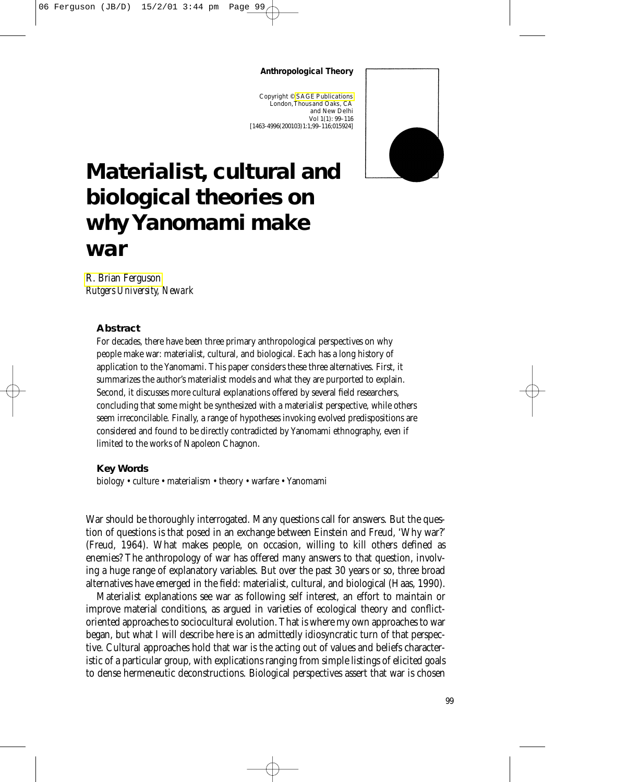#### **Anthropological Theory**

Copyright © [SAGE Publications](http:\\www.sagepub.co.uk) London, Thousand Oaks, CA and New Delhi Vol 1(1): 99–116 [1463-4996(200103)1:1;99–116;015924]



# **Materialist, cultural and biological theories on why Yanomami make war**

[R. Brian Ferguson](#page-17-0) *Rutgers University, Newark*

### **Abstract**

For decades, there have been three primary anthropological perspectives on why people make war: materialist, cultural, and biological. Each has a long history of application to the Yanomami. This paper considers these three alternatives. First, it summarizes the author's materialist models and what they are purported to explain. Second, it discusses more cultural explanations offered by several field researchers, concluding that some might be synthesized with a materialist perspective, while others seem irreconcilable. Finally, a range of hypotheses invoking evolved predispositions are considered and found to be directly contradicted by Yanomami ethnography, even if limited to the works of Napoleon Chagnon.

#### **Key Words**

biology • culture • materialism • theory • warfare • Yanomami

War should be thoroughly interrogated. Many questions call for answers. But the question of questions is that posed in an exchange between Einstein and Freud, 'Why war?' (Freud, 1964). What makes people, on occasion, willing to kill others defined as enemies? The anthropology of war has offered many answers to that question, involving a huge range of explanatory variables. But over the past 30 years or so, three broad alternatives have emerged in the field: materialist, cultural, and biological (Haas, 1990).

Materialist explanations see war as following self interest, an effort to maintain or improve material conditions, as argued in varieties of ecological theory and conflictoriented approaches to sociocultural evolution. That is where my own approaches to war began, but what I will describe here is an admittedly idiosyncratic turn of that perspective. Cultural approaches hold that war is the acting out of values and beliefs characteristic of a particular group, with explications ranging from simple listings of elicited goals to dense hermeneutic deconstructions. Biological perspectives assert that war is chosen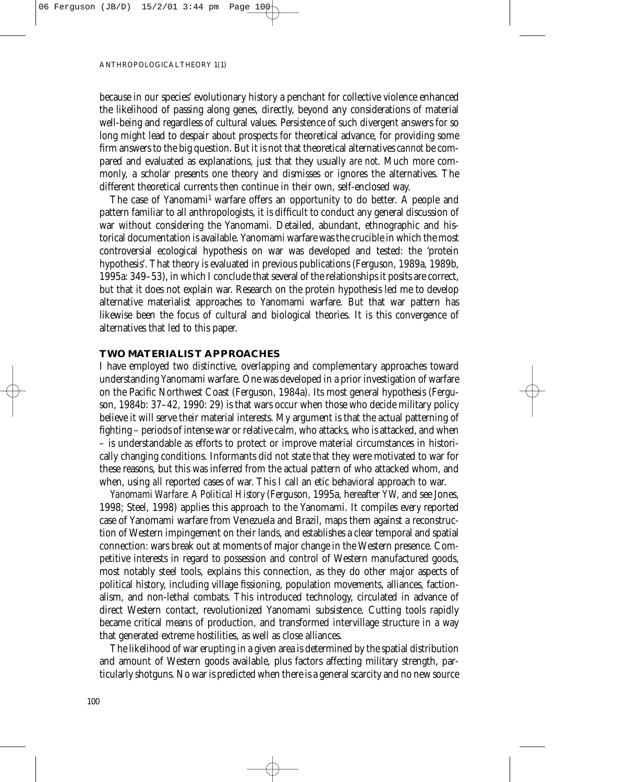because in our species' evolutionary history a penchant for collective violence enhanced the likelihood of passing along genes, directly, beyond any considerations of material well-being and regardless of cultural values. Persistence of such divergent answers for so long might lead to despair about prospects for theoretical advance, for providing some firm answers to the big question. But it is not that theoretical alternatives *cannot* be compared and evaluated as explanations, just that they usually *are not*. Much more commonly, a scholar presents one theory and dismisses or ignores the alternatives. The different theoretical currents then continue in their own, self-enclosed way.

The case of Yanomami<sup>1</sup> warfare offers an opportunity to do better. A people and pattern familiar to all anthropologists, it is difficult to conduct any general discussion of war without considering the Yanomami. Detailed, abundant, ethnographic and historical documentation is available. Yanomami warfare was the crucible in which the most controversial ecological hypothesis on war was developed and tested: the 'protein hypothesis'. That theory is evaluated in previous publications (Ferguson, 1989a, 1989b, 1995a: 349–53), in which I conclude that several of the relationships it posits are correct, but that it does not explain war. Research on the protein hypothesis led me to develop alternative materialist approaches to Yanomami warfare. But that war pattern has likewise been the focus of cultural and biological theories. It is this convergence of alternatives that led to this paper.

## **TWO MATERIALIST APPROACHES**

I have employed two distinctive, overlapping and complementary approaches toward understanding Yanomami warfare. One was developed in a prior investigation of warfare on the Pacific Northwest Coast (Ferguson, 1984a). Its most general hypothesis (Ferguson, 1984b: 37–42, 1990: 29) is that wars occur when those who decide military policy believe it will serve their material interests. My argument is that the actual patterning of fighting – periods of intense war or relative calm, who attacks, who is attacked, and when – is understandable as efforts to protect or improve material circumstances in historically changing conditions. Informants did not state that they were motivated to war for these reasons, but this was inferred from the actual pattern of who attacked whom, and when, using *all* reported cases of war. This I call an etic behavioral approach to war.

*Yanomami Warfare: A Political History* (Ferguson, 1995a, hereafter *YW,* and see Jones, 1998; Steel, 1998) applies this approach to the Yanomami. It compiles *every* reported case of Yanomami warfare from Venezuela and Brazil, maps them against a reconstruction of Western impingement on their lands, and establishes a clear temporal and spatial connection: wars break out at moments of major change in the Western presence. Competitive interests in regard to possession and control of Western manufactured goods, most notably steel tools, explains this connection, as they do other major aspects of political history, including village fissioning, population movements, alliances, factionalism, and non-lethal combats. This introduced technology, circulated in advance of direct Western contact, revolutionized Yanomami subsistence. Cutting tools rapidly became critical means of production, and transformed intervillage structure in a way that generated extreme hostilities, as well as close alliances.

The likelihood of war erupting in a given area is determined by the spatial distribution and amount of Western goods available, plus factors affecting military strength, particularly shotguns. No war is predicted when there is a general scarcity and no new source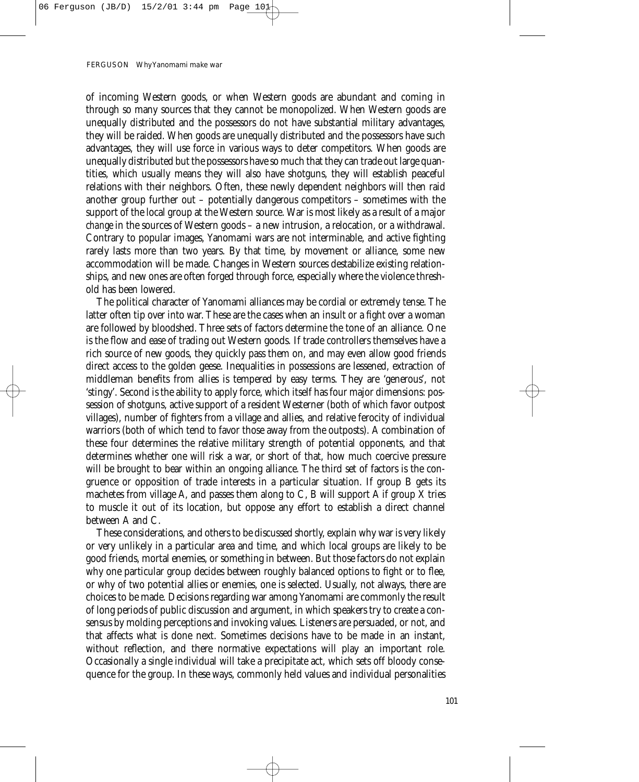of incoming Western goods, or when Western goods are abundant and coming in through so many sources that they cannot be monopolized. When Western goods are unequally distributed and the possessors do not have substantial military advantages, they will be raided. When goods are unequally distributed and the possessors have such advantages, they will use force in various ways to deter competitors. When goods are unequally distributed but the possessors have so much that they can trade out large quantities, which usually means they will also have shotguns, they will establish peaceful relations with their neighbors. Often, these newly dependent neighbors will then raid another group further out – potentially dangerous competitors – sometimes with the support of the local group at the Western source. War is most likely as a result of a major *change* in the sources of Western goods – a new intrusion, a relocation, or a withdrawal. Contrary to popular images, Yanomami wars are not interminable, and active fighting rarely lasts more than two years. By that time, by movement or alliance, some new accommodation will be made. Changes in Western sources destabilize existing relationships, and new ones are often forged through force, especially where the violence threshold has been lowered.

The political character of Yanomami alliances may be cordial or extremely tense. The latter often tip over into war. These are the cases when an insult or a fight over a woman are followed by bloodshed. Three sets of factors determine the tone of an alliance. One is the flow and ease of trading out Western goods. If trade controllers themselves have a rich source of new goods, they quickly pass them on, and may even allow good friends direct access to the golden geese. Inequalities in possessions are lessened, extraction of middleman benefits from allies is tempered by easy terms. They are 'generous', not 'stingy'. Second is the ability to apply force, which itself has four major dimensions: possession of shotguns, active support of a resident Westerner (both of which favor outpost villages), number of fighters from a village and allies, and relative ferocity of individual warriors (both of which tend to favor those away from the outposts). A combination of these four determines the relative military strength of potential opponents, and that determines whether one will risk a war, or short of that, how much coercive pressure will be brought to bear within an ongoing alliance. The third set of factors is the congruence or opposition of trade interests in a particular situation. If group B gets its machetes from village A, and passes them along to C, B will support A if group X tries to muscle it out of its location, but oppose any effort to establish a direct channel between A and C.

These considerations, and others to be discussed shortly, explain why war is very likely or very unlikely in a particular area and time, and which local groups are likely to be good friends, mortal enemies, or something in between. But those factors do not explain why one particular group decides between roughly balanced options to fight or to flee, or why of two potential allies or enemies, one is selected. Usually, not always, there are choices to be made. Decisions regarding war among Yanomami are commonly the result of long periods of public discussion and argument, in which speakers try to create a consensus by molding perceptions and invoking values. Listeners are persuaded, or not, and that affects what is done next. Sometimes decisions have to be made in an instant, without reflection, and there normative expectations will play an important role. Occasionally a single individual will take a precipitate act, which sets off bloody consequence for the group. In these ways, commonly held values and individual personalities

101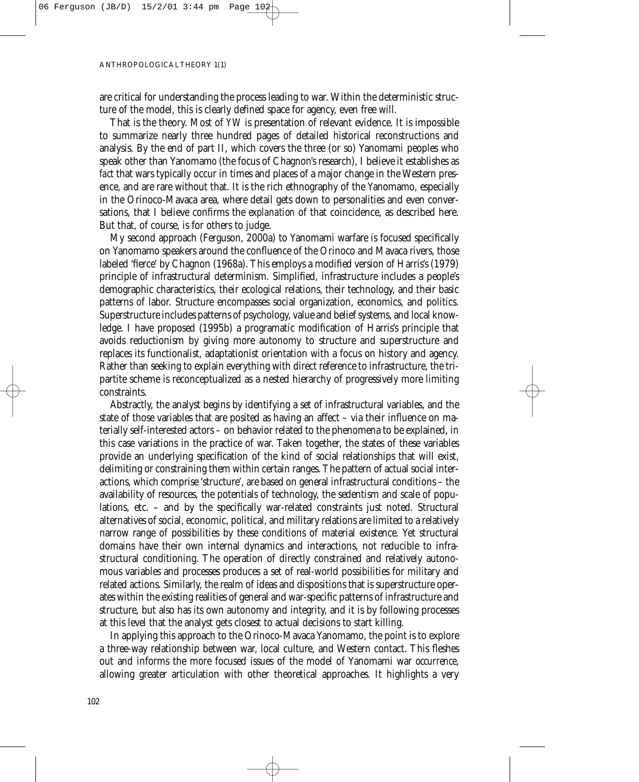are critical for understanding the process leading to war. Within the deterministic structure of the model, this is clearly defined space for agency, even free will.

That is the theory. Most of *YW* is presentation of relevant evidence. It is impossible to summarize nearly three hundred pages of detailed historical reconstructions and analysis. By the end of part II, which covers the three (or so) Yanomam*i* peoples who speak other than Yanomam*o* (the focus of Chagnon's research), I believe it establishes as *fact* that wars typically occur in times and places of a major change in the Western presence, and are rare without that. It is the rich ethnography of the Yanomamo, especially in the Orinoco-Mavaca area, where detail gets down to personalities and even conversations, that I believe confirms the *explanation* of that coincidence, as described here. But that, of course, is for others to judge.

My second approach (Ferguson, 2000a) to Yanomami warfare is focused specifically on Yanomamo speakers around the confluence of the Orinoco and Mavaca rivers, those labeled 'fierce' by Chagnon (1968a). This employs a modified version of Harris's (1979) principle of infrastructural determinism. Simplified, infrastructure includes a people's demographic characteristics, their ecological relations, their technology, and their basic patterns of labor. Structure encompasses social organization, economics, and politics. Superstructure includes patterns of psychology, value and belief systems, and local knowledge. I have proposed (1995b) a programatic modification of Harris's principle that avoids reductionism by giving more autonomy to structure and superstructure and replaces its functionalist, adaptationist orientation with a focus on history and agency. Rather than seeking to explain everything with direct reference to infrastructure, the tripartite scheme is reconceptualized as a nested hierarchy of progressively more limiting constraints.

Abstractly, the analyst begins by identifying a set of infrastructural variables, and the state of those variables that are posited as having an affect – via their influence on materially self-interested actors – on behavior related to the phenomena to be explained, in this case variations in the practice of war. Taken together, the states of these variables provide an underlying specification of the kind of social relationships that will exist, delimiting or constraining them within certain ranges. The pattern of actual social interactions, which comprise 'structure', are based on general infrastructural conditions – the availability of resources, the potentials of technology, the sedentism and scale of populations, etc. – and by the specifically war-related constraints just noted. Structural alternatives of social, economic, political, and military relations are limited to a relatively narrow range of possibilities by these conditions of material existence. Yet structural domains have their own internal dynamics and interactions, not reducible to infrastructural conditioning. The operation of directly constrained and relatively autonomous variables and processes produces a set of real-world possibilities for military and related actions. Similarly, the realm of ideas and dispositions that is superstructure operates within the existing realities of general and war-specific patterns of infrastructure and structure, but also has its own autonomy and integrity, and it is by following processes at this level that the analyst gets closest to actual decisions to start killing.

In applying this approach to the Orinoco-Mavaca Yanomamo, the point is to explore a three-way relationship between war, local culture, and Western contact. This fleshes out and informs the more focused issues of the model of Yanomami war *occurrence*, allowing greater articulation with other theoretical approaches. It highlights a very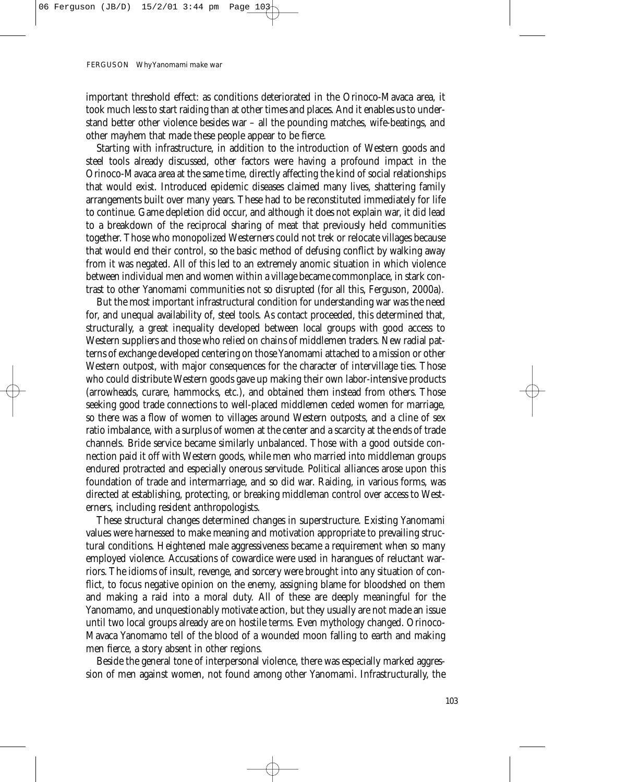important threshold effect: as conditions deteriorated in the Orinoco-Mavaca area, it took much less to start raiding than at other times and places. And it enables us to understand better other violence besides war – all the pounding matches, wife-beatings, and other mayhem that made these people appear to be fierce.

Starting with infrastructure, in addition to the introduction of Western goods and steel tools already discussed, other factors were having a profound impact in the Orinoco-Mavaca area at the same time, directly affecting the kind of social relationships that would exist. Introduced epidemic diseases claimed many lives, shattering family arrangements built over many years. These had to be reconstituted immediately for life to continue. Game depletion did occur, and although it does not explain war, it did lead to a breakdown of the reciprocal sharing of meat that previously held communities together. Those who monopolized Westerners could not trek or relocate villages because that would end their control, so the basic method of defusing conflict by walking away from it was negated. All of this led to an extremely anomic situation in which violence between individual men and women within a village became commonplace, in stark contrast to other Yanomami communities not so disrupted (for all this, Ferguson, 2000a).

But the most important infrastructural condition for understanding war was the need for, and unequal availability of, steel tools. As contact proceeded, this determined that, structurally, a great inequality developed between local groups with good access to Western suppliers and those who relied on chains of middlemen traders. New radial patterns of exchange developed centering on those Yanomami attached to a mission or other Western outpost, with major consequences for the character of intervillage ties. Those who could distribute Western goods gave up making their own labor-intensive products (arrowheads, curare, hammocks, etc.), and obtained them instead from others. Those seeking good trade connections to well-placed middlemen ceded women for marriage, so there was a flow of women to villages around Western outposts, and a cline of sex ratio imbalance, with a surplus of women at the center and a scarcity at the ends of trade channels. Bride service became similarly unbalanced. Those with a good outside connection paid it off with Western goods, while men who married into middleman groups endured protracted and especially onerous servitude. Political alliances arose upon this foundation of trade and intermarriage, and so did war. Raiding, in various forms, was directed at establishing, protecting, or breaking middleman control over access to Westerners, including resident anthropologists.

These structural changes determined changes in superstructure. Existing Yanomami values were harnessed to make meaning and motivation appropriate to prevailing structural conditions. Heightened male aggressiveness became a requirement when so many employed violence. Accusations of cowardice were used in harangues of reluctant warriors. The idioms of insult, revenge, and sorcery were brought into any situation of conflict, to focus negative opinion on the enemy, assigning blame for bloodshed on them and making a raid into a moral duty. All of these are deeply meaningful for the Yanomamo, and unquestionably motivate action, but they usually are not made an issue until two local groups already are on hostile terms. Even mythology changed. Orinoco-Mavaca Yanomamo tell of the blood of a wounded moon falling to earth and making men fierce, a story absent in other regions.

Beside the general tone of interpersonal violence, there was especially marked aggression of men against women, not found among other Yanomami. Infrastructurally, the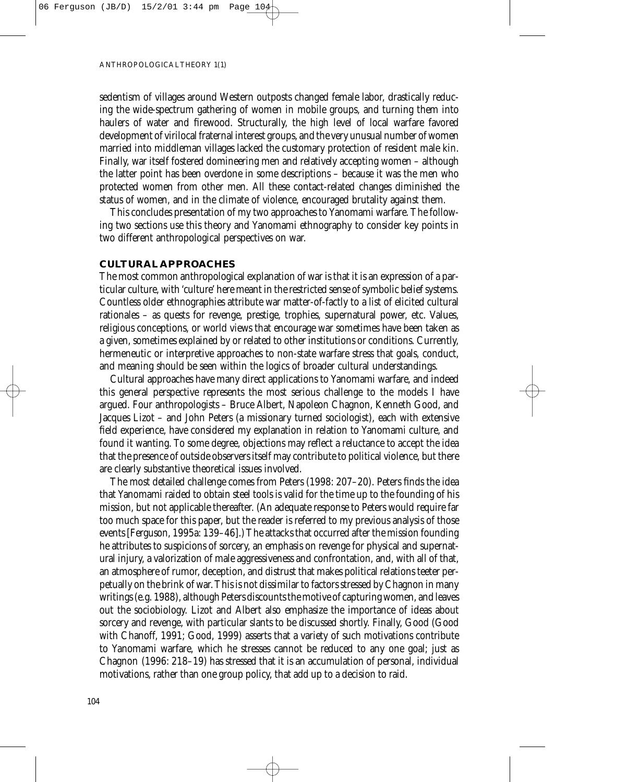sedentism of villages around Western outposts changed female labor, drastically reducing the wide-spectrum gathering of women in mobile groups, and turning them into haulers of water and firewood. Structurally, the high level of local warfare favored development of virilocal fraternal interest groups, and the very unusual number of women married into middleman villages lacked the customary protection of resident male kin. Finally, war itself fostered domineering men and relatively accepting women – although the latter point has been overdone in some descriptions – because it was the men who protected women from other men. All these contact-related changes diminished the status of women, and in the climate of violence, encouraged brutality against them.

This concludes presentation of my two approaches to Yanomami warfare. The following two sections use this theory and Yanomami ethnography to consider key points in two different anthropological perspectives on war.

### **CULTURAL APPROACHES**

The most common anthropological explanation of war is that it is an expression of a particular culture, with 'culture' here meant in the restricted sense of symbolic belief systems. Countless older ethnographies attribute war matter-of-factly to a list of elicited cultural rationales – as quests for revenge, prestige, trophies, supernatural power, etc. Values, religious conceptions, or world views that encourage war sometimes have been taken as a given, sometimes explained by or related to other institutions or conditions. Currently, hermeneutic or interpretive approaches to non-state warfare stress that goals, conduct, and meaning should be seen within the logics of broader cultural understandings.

Cultural approaches have many direct applications to Yanomami warfare, and indeed this general perspective represents the most serious challenge to the models I have argued. Four anthropologists – Bruce Albert, Napoleon Chagnon, Kenneth Good, and Jacques Lizot – and John Peters (a missionary turned sociologist), each with extensive field experience, have considered my explanation in relation to Yanomami culture, and found it wanting. To some degree, objections may reflect a reluctance to accept the idea that the presence of outside observers itself may contribute to political violence, but there are clearly substantive theoretical issues involved.

The most detailed challenge comes from Peters (1998: 207–20). Peters finds the idea that Yanomami raided to obtain steel tools is valid for the time up to the founding of his mission, but not applicable thereafter. (An adequate response to Peters would require far too much space for this paper, but the reader is referred to my previous analysis of those events [Ferguson, 1995a: 139–46].) The attacks that occurred after the mission founding he attributes to suspicions of sorcery, an emphasis on revenge for physical and supernatural injury, a valorization of male aggressiveness and confrontation, and, with all of that, an atmosphere of rumor, deception, and distrust that makes political relations teeter perpetually on the brink of war. This is not dissimilar to factors stressed by Chagnon in many writings (e.g. 1988), although Peters discounts the motive of capturing women, and leaves out the sociobiology. Lizot and Albert also emphasize the importance of ideas about sorcery and revenge, with particular slants to be discussed shortly. Finally, Good (Good with Chanoff, 1991; Good, 1999) asserts that a variety of such motivations contribute to Yanomami warfare, which he stresses cannot be reduced to any one goal; just as Chagnon (1996: 218–19) has stressed that it is an accumulation of personal, individual motivations, rather than one group policy, that add up to a decision to raid.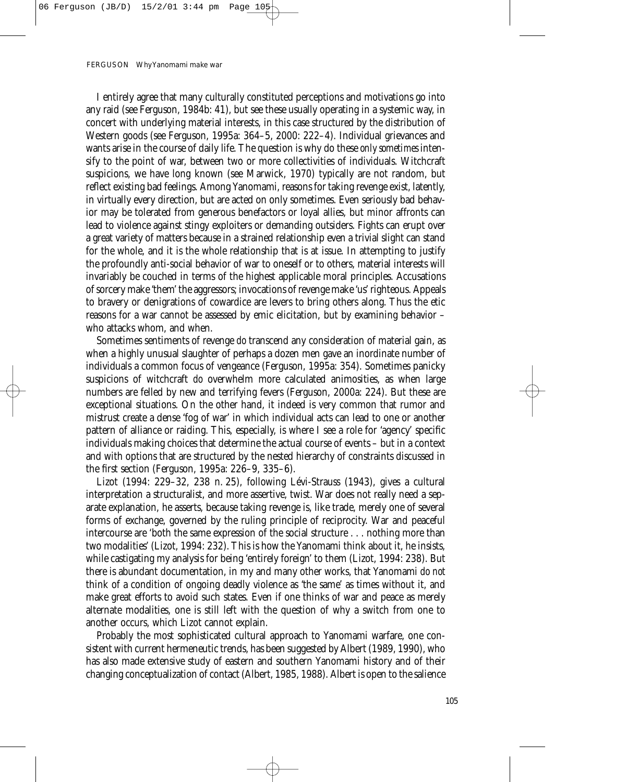I entirely agree that many culturally constituted perceptions and motivations go into any raid (see Ferguson, 1984b: 41), but see these usually operating in a systemic way, in concert with underlying material interests, in this case structured by the distribution of Western goods (see Ferguson, 1995a: 364–5, 2000: 222–4). Individual grievances and wants arise in the course of daily life. The question is why do these *only sometimes* intensify to the point of war, between two or more collectivities of individuals. Witchcraft suspicions, we have long known (see Marwick, 1970) typically are not random, but reflect existing bad feelings. Among Yanomami, reasons for taking revenge exist, latently, in virtually every direction, but are acted on only sometimes. Even seriously bad behavior may be tolerated from generous benefactors or loyal allies, but minor affronts can lead to violence against stingy exploiters or demanding outsiders. Fights can erupt over a great variety of matters because in a strained relationship even a trivial slight can stand for the whole, and it is the whole relationship that is at issue. In attempting to justify the profoundly anti-social behavior of war to oneself or to others, material interests will invariably be couched in terms of the highest applicable moral principles. Accusations of sorcery make 'them' the aggressors; invocations of revenge make 'us' righteous. Appeals to bravery or denigrations of cowardice are levers to bring others along. Thus the etic reasons for a war cannot be assessed by emic elicitation, but by examining behavior – who attacks whom, and when.

Sometimes sentiments of revenge *do* transcend any consideration of material gain, as when a highly unusual slaughter of perhaps a dozen men gave an inordinate number of individuals a common focus of vengeance (Ferguson, 1995a: 354). Sometimes panicky suspicions of witchcraft *do* overwhelm more calculated animosities, as when large numbers are felled by new and terrifying fevers (Ferguson, 2000a: 224). But these are exceptional situations. On the other hand, it indeed is very common that rumor and mistrust create a dense 'fog of war' in which individual acts can lead to one or another pattern of alliance or raiding. This, especially, is where I see a role for 'agency' specific individuals making choices that determine the actual course of events – but in a context and with options that are structured by the nested hierarchy of constraints discussed in the first section (Ferguson, 1995a: 226–9, 335–6).

Lizot (1994: 229–32, 238 n. 25), following Lévi-Strauss (1943), gives a cultural interpretation a structuralist, and more assertive, twist. War does not really need a separate explanation, he asserts, because taking revenge is, like trade, merely one of several forms of exchange, governed by the ruling principle of reciprocity. War and peaceful intercourse are 'both the same expression of the social structure . . . nothing more than two modalities' (Lizot, 1994: 232). This is how the Yanomami think about it, he insists, while castigating my analysis for being 'entirely foreign' to them (Lizot, 1994: 238). But there is abundant documentation, in my and many other works, that Yanomami *do not* think of a condition of ongoing deadly violence as 'the same' as times without it, and make great efforts to avoid such states. Even if one thinks of war and peace as merely alternate modalities, one is still left with the question of why a switch from one to another occurs, which Lizot cannot explain.

Probably the most sophisticated cultural approach to Yanomami warfare, one consistent with current hermeneutic trends, has been suggested by Albert (1989, 1990), who has also made extensive study of eastern and southern Yanomami history and of their changing conceptualization of contact (Albert, 1985, 1988). Albert is open to the salience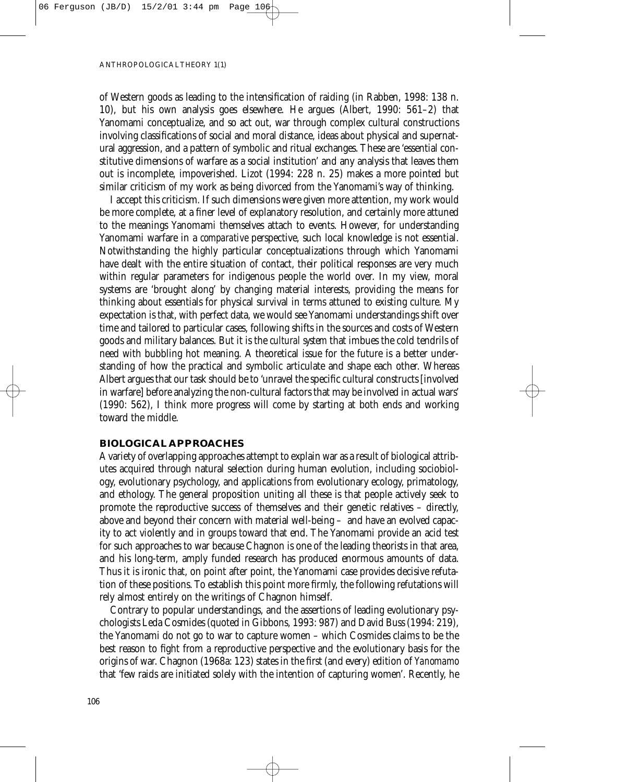of Western goods as leading to the intensification of raiding (in Rabben, 1998: 138 n. 10), but his own analysis goes elsewhere. He argues (Albert, 1990: 561–2) that Yanomami conceptualize, and so act out, war through complex cultural constructions involving classifications of social and moral distance, ideas about physical and supernatural aggression, and a pattern of symbolic and ritual exchanges. These are 'essential constitutive dimensions of warfare as a social institution' and any analysis that leaves them out is incomplete, impoverished. Lizot (1994: 228 n. 25) makes a more pointed but similar criticism of my work as being divorced from the Yanomami's way of thinking.

I accept this criticism. If such dimensions were given more attention, my work would be more complete, at a finer level of explanatory resolution, and certainly more attuned to the meanings Yanomami themselves attach to events. However, for understanding Yanomami warfare in a *comparative* perspective, such local knowledge is not essential. Notwithstanding the highly particular conceptualizations through which Yanomami have dealt with the entire situation of contact, their political responses are very much within regular parameters for indigenous people the world over. In my view, moral systems are 'brought along' by changing material interests, providing the means for thinking about essentials for physical survival in terms attuned to existing culture. My expectation is that, with perfect data, we would see Yanomami understandings shift over time and tailored to particular cases, following shifts in the sources and costs of Western goods and military balances. But it is the *cultural system* that imbues the cold tendrils of need with bubbling hot meaning. A theoretical issue for the future is a better understanding of how the practical and symbolic articulate and shape each other. Whereas Albert argues that our task should be to 'unravel the specific cultural constructs [involved in warfare] before analyzing the non-cultural factors that may be involved in actual wars' (1990: 562), I think more progress will come by starting at both ends and working toward the middle.

# **BIOLOGICAL APPROACHES**

A variety of overlapping approaches attempt to explain war as a result of biological attributes acquired through natural selection during human evolution, including sociobiology, evolutionary psychology, and applications from evolutionary ecology, primatology, and ethology. The general proposition uniting all these is that people actively seek to promote the reproductive success of themselves and their genetic relatives – directly, above and beyond their concern with material well-being – and have an evolved capacity to act violently and in groups toward that end. The Yanomami provide an acid test for such approaches to war because Chagnon is one of the leading theorists in that area, and his long-term, amply funded research has produced enormous amounts of data. Thus it is ironic that, on point after point, the Yanomami case provides decisive refutation of these positions. To establish this point more firmly, the following refutations will rely almost entirely on the writings of Chagnon himself.

Contrary to popular understandings, and the assertions of leading evolutionary psychologists Leda Cosmides (quoted in Gibbons, 1993: 987) and David Buss (1994: 219), the Yanomami do not go to war to capture women – which Cosmides claims to be the best reason to fight from a reproductive perspective and the evolutionary basis for the origins of war. Chagnon (1968a: 123) states in the first (and every) edition of *Yanomamo* that 'few raids are initiated solely with the intention of capturing women'. Recently, he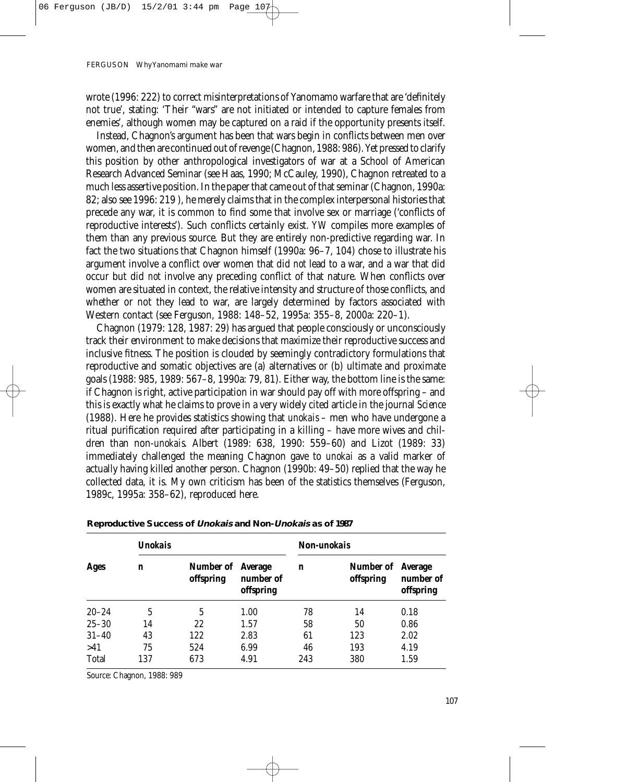wrote (1996: 222) to correct misinterpretations of Yanomamo warfare that are 'definitely not true', stating: 'Their "wars" are not initiated or intended to capture females from enemies', although women may be captured on a raid if the opportunity presents itself.

Instead, Chagnon's argument has been that wars begin in conflicts between men over women, and then are continued out of revenge (Chagnon, 1988: 986). Yet pressed to clarify this position by other anthropological investigators of war at a School of American Research Advanced Seminar (see Haas, 1990; McCauley, 1990), Chagnon retreated to a much less assertive position. In the paper that came out of that seminar (Chagnon, 1990a: 82; also see 1996: 219 ), he merely claims that in the complex interpersonal histories that precede any war, it is common to find some that involve sex or marriage ('conflicts of reproductive interests'). Such conflicts certainly exist. *YW* compiles more examples of them than any previous source. But they are entirely non-predictive regarding war. In fact the two situations that Chagnon himself (1990a: 96–7, 104) chose to illustrate his argument involve a conflict over women that did *not* lead to a war, and a war that did occur but did *not* involve any preceding conflict of that nature. When conflicts over women are situated in context, the relative intensity and structure of those conflicts, and whether or not they lead to war, are largely determined by factors associated with Western contact (see Ferguson, 1988: 148–52, 1995a: 355–8, 2000a: 220–1).

Chagnon (1979: 128, 1987: 29) has argued that people consciously or unconsciously track their environment to make decisions that maximize their reproductive success and inclusive fitness. The position is clouded by seemingly contradictory formulations that reproductive and somatic objectives are (a) alternatives or (b) ultimate and proximate goals (1988: 985, 1989: 567–8, 1990a: 79, 81). Either way, the bottom line is the same: if Chagnon is right, active participation in war should pay off with more offspring – and this is exactly what he claims to prove in a very widely cited article in the journal *Science* (1988). Here he provides statistics showing that *unokais* – men who have undergone a ritual purification required after participating in a killing – have more wives and children than non-*unokais*. Albert (1989: 638, 1990: 559–60) and Lizot (1989: 33) immediately challenged the meaning Chagnon gave to *unokai* as a valid marker of actually having killed another person. Chagnon (1990b: 49–50) replied that the way he collected data, it is. My own criticism has been of the statistics themselves (Ferguson, 1989c, 1995a: 358–62), reproduced here.

| Ages      | Unokais          |                                       |                        | Non- <i>unokais</i> |                                       |                        |
|-----------|------------------|---------------------------------------|------------------------|---------------------|---------------------------------------|------------------------|
|           | $\boldsymbol{n}$ | <b>Number of Average</b><br>offspring | number of<br>offspring | $\boldsymbol{n}$    | <b>Number of Average</b><br>offspring | number of<br>offspring |
| $20 - 24$ | 5                | 5                                     | 1.00                   | 78                  | 14                                    | 0.18                   |
| $25 - 30$ | 14               | 22                                    | 1.57                   | 58                  | 50                                    | 0.86                   |
| $31 - 40$ | 43               | 122                                   | 2.83                   | 61                  | 123                                   | 2.02                   |
| >41       | 75               | 524                                   | 6.99                   | 46                  | 193                                   | 4.19                   |
| Total     | 137              | 673                                   | 4.91                   | 243                 | 380                                   | 1.59                   |

Source: Chagnon, 1988: 989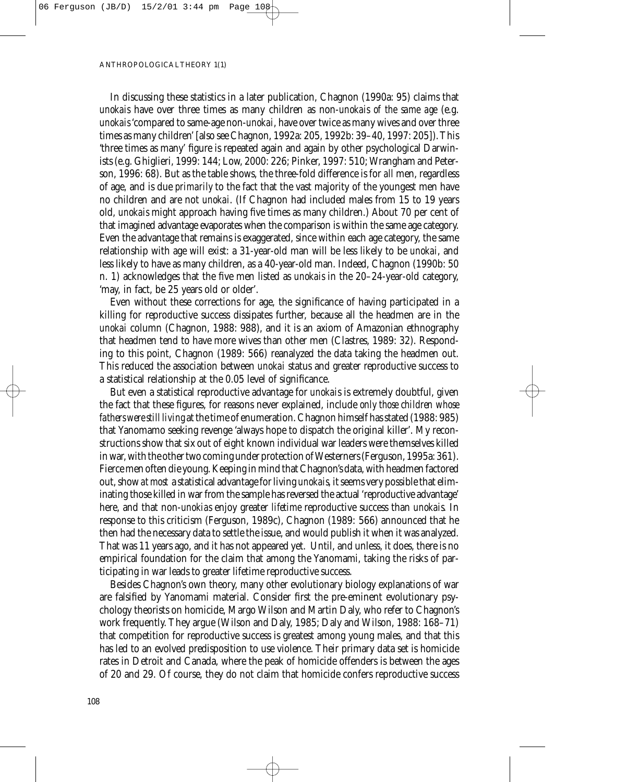In discussing these statistics in a later publication, Chagnon (1990a: 95) claims that *unokais* have over three times as many children as non-*unokais of the same age* (e.g. *unokais* 'compared to same-age non-*unokai*, have over twice as many wives and over three times as many children' [also see Chagnon, 1992a: 205, 1992b: 39–40, 1997: 205]). This 'three times as many' figure is repeated again and again by other psychological Darwinists (e.g. Ghiglieri, 1999: 144; Low, 2000: 226; Pinker, 1997: 510; Wrangham and Peterson, 1996: 68). But as the table shows, the three-fold difference is for *all* men, regardless of age, and is due *primarily* to the fact that the vast majority of the youngest men have no children and are not *unokai*. (If Chagnon had included males from 15 to 19 years old, *unokais* might approach having five times as many children.) About 70 per cent of that imagined advantage evaporates when the comparison is within the same age category. Even the advantage that remains is exaggerated, since within each age category, the same relationship with age will exist: a 31-year-old man will be less likely to be *unokai*, and less likely to have as many children, as a 40-year-old man. Indeed, Chagnon (1990b: 50 n. 1) acknowledges that the five men listed as *unokais* in the 20–24-year-old category, 'may, in fact, be 25 years old or older'.

Even without these corrections for age, the significance of having participated in a killing for reproductive success dissipates further, because all the headmen are in the *unokai* column (Chagnon, 1988: 988), and it is an axiom of Amazonian ethnography that headmen tend to have more wives than other men (Clastres, 1989: 32). Responding to this point, Chagnon (1989: 566) reanalyzed the data taking the headmen out. This reduced the association between *unokai* status and greater reproductive success to a statistical relationship at the 0.05 level of significance.

But even a statistical reproductive advantage for *unokai*s is extremely doubtful, given the fact that these figures, for reasons never explained, include *only those children whose fathers were still living* at the time of enumeration. Chagnon himself has stated (1988: 985) that Yanomamo seeking revenge 'always hope to dispatch the original killer'. My reconstructions show that six out of eight known individual war leaders were themselves killed in war, with the other two coming under protection of Westerners (Ferguson, 1995a: 361). Fierce men often die young. Keeping in mind that Chagnon's data, with headmen factored out, show*at most* a statistical advantage for living *unokais,* it seems very possible that eliminating those killed in war from the sample has reversed the actual 'reproductive advantage' here, and that non-*unokias* enjoy greater *lifetime* reproductive success than *unokais.* In response to this criticism (Ferguson, 1989c), Chagnon (1989: 566) announced that he then had the necessary data to settle the issue, and would publish it when it was analyzed. That was 11 years ago, and it has not appeared yet. Until, and unless, it does, there is no empirical foundation for the claim that among the Yanomami, taking the risks of participating in war leads to greater lifetime reproductive success.

Besides Chagnon's own theory, many other evolutionary biology explanations of war are falsified by Yanomami material. Consider first the pre-eminent evolutionary psychology theorists on homicide, Margo Wilson and Martin Daly, who refer to Chagnon's work frequently. They argue (Wilson and Daly, 1985; Daly and Wilson, 1988: 168–71) that competition for reproductive success is greatest among young males, and that this has led to an evolved predisposition to use violence. Their primary data set is homicide rates in Detroit and Canada, where the peak of homicide offenders is between the ages of 20 and 29. Of course, they do not claim that homicide confers reproductive success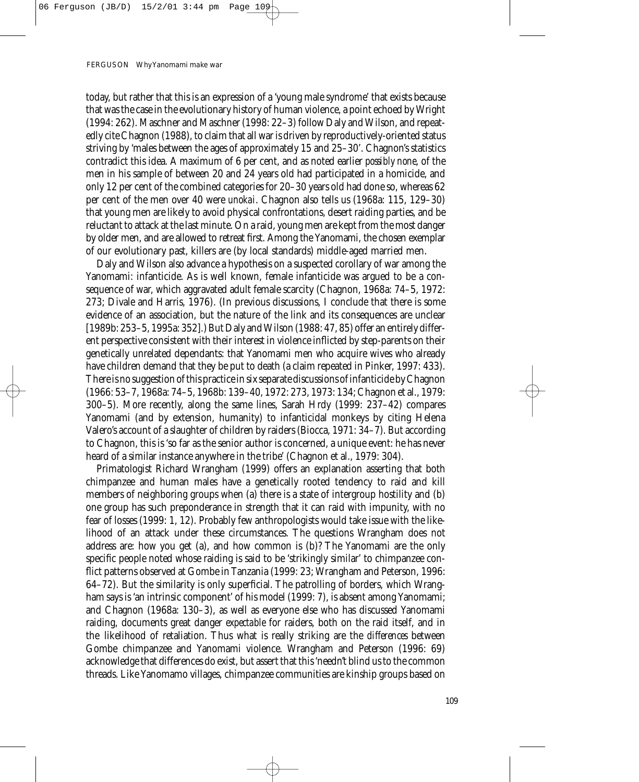today, but rather that this is an expression of a 'young male syndrome' that exists because that was the case in the evolutionary history of human violence, a point echoed by Wright (1994: 262). Maschner and Maschner (1998: 22–3) follow Daly and Wilson, and repeatedly cite Chagnon (1988), to claim that all war is driven by reproductively-oriented status striving by 'males between the ages of approximately 15 and 25–30'. Chagnon's statistics contradict this idea. A maximum of 6 per cent, and as noted earlier *possibly none*, of the men in his sample of between 20 and 24 years old had participated in a homicide, and only 12 per cent of the combined categories for 20–30 years old had done so, whereas 62 per cent of the men over 40 were *unokai*. Chagnon also tells us (1968a: 115, 129–30) that young men are likely to avoid physical confrontations, desert raiding parties, and be reluctant to attack at the last minute. On a raid, young men are kept from the most danger by older men, and are allowed to retreat first. Among the Yanomami, the chosen exemplar of our evolutionary past, killers are (by local standards) middle-aged married men.

Daly and Wilson also advance a hypothesis on a suspected corollary of war among the Yanomami: infanticide. As is well known, female infanticide was argued to be a consequence of war, which aggravated adult female scarcity (Chagnon, 1968a: 74–5, 1972: 273; Divale and Harris, 1976). (In previous discussions, I conclude that there is some evidence of an association, but the nature of the link and its consequences are unclear [1989b: 253–5, 1995a: 352].) But Daly and Wilson (1988: 47, 85) offer an entirely different perspective consistent with their interest in violence inflicted by step-parents on their genetically unrelated dependants: that Yanomami men who acquire wives who already have children demand that they be put to death (a claim repeated in Pinker, 1997: 433). There is no suggestion of this practice in six separate discussions of infanticide by Chagnon (1966: 53–7, 1968a: 74–5, 1968b: 139–40, 1972: 273, 1973: 134; Chagnon et al., 1979: 300–5). More recently, along the same lines, Sarah Hrdy (1999: 237–42) compares Yanomami (and by extension, humanity) to infanticidal monkeys by citing Helena Valero's account of a slaughter of children by raiders (Biocca, 1971: 34–7). But according to Chagnon, this is 'so far as the senior author is concerned, a unique event: he has never heard of a similar instance anywhere in the tribe' (Chagnon et al., 1979: 304).

Primatologist Richard Wrangham (1999) offers an explanation asserting that both chimpanzee and human males have a genetically rooted tendency to raid and kill members of neighboring groups when (a) there is a state of intergroup hostility and (b) one group has such preponderance in strength that it can raid with impunity, with no fear of losses (1999: 1, 12). Probably few anthropologists would take issue with the likelihood of an attack under these circumstances. The questions Wrangham does not address are: how you get (a), and how common is (b)? The Yanomami are the only specific people noted whose raiding is said to be 'strikingly similar' to chimpanzee conflict patterns observed at Gombe in Tanzania (1999: 23; Wrangham and Peterson, 1996: 64–72). But the similarity is only superficial. The patrolling of borders, which Wrangham says is 'an intrinsic component' of his model (1999: 7), is absent among Yanomami; and Chagnon (1968a: 130–3), as well as everyone else who has discussed Yanomami raiding, documents great danger *expectable* for raiders, both on the raid itself, and in the likelihood of retaliation. Thus what is really striking are the *differences* between Gombe chimpanzee and Yanomami violence. Wrangham and Peterson (1996: 69) acknowledge that differences do exist, but assert that this 'needn't blind us to the common threads. Like Yanomamo villages, chimpanzee communities are kinship groups based on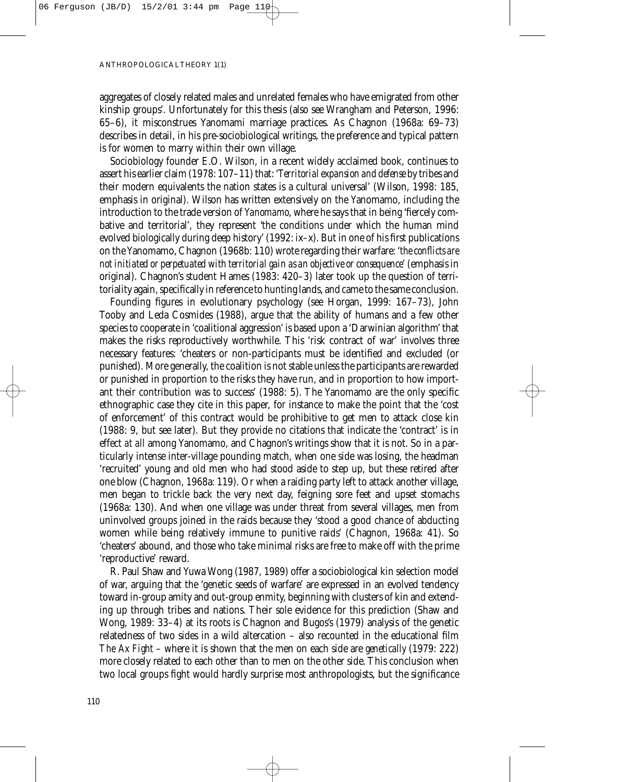aggregates of closely related males and unrelated females who have emigrated from other kinship groups'. Unfortunately for this thesis (also see Wrangham and Peterson, 1996: 65–6), it misconstrues Yanomami marriage practices. As Chagnon (1968a: 69–73) describes in detail, in his pre-sociobiological writings, the preference and typical pattern is for women to marry *within* their own village.

Sociobiology founder E.O. Wilson, in a recent widely acclaimed book, continues to assert his earlier claim (1978: 107–11) that: '*Territorial expansion and defense* by tribes and their modern equivalents the nation states is a cultural universal' (Wilson, 1998: 185, emphasis in original). Wilson has written extensively on the Yanomamo, including the introduction to the trade version of *Yanomamo*, where he says that in being 'fiercely combative and territorial', they represent 'the conditions under which the human mind evolved biologically during deep history' (1992: ix–x). But in one of his first publications on the Yanomamo, Chagnon (1968b: 110) wrote regarding their warfare: '*the conflicts are not initiated or perpetuated with territorial gain as an objective or consequence*' (emphasis in original). Chagnon's student Hames (1983: 420–3) later took up the question of territoriality again, specifically in reference to hunting lands, and came to the same conclusion.

Founding figures in evolutionary psychology (see Horgan, 1999: 167–73), John Tooby and Leda Cosmides (1988), argue that the ability of humans and a few other species to cooperate in 'coalitional aggression' is based upon a 'Darwinian algorithm' that makes the risks reproductively worthwhile. This 'risk contract of war' involves three necessary features: 'cheaters or non-participants must be identified and excluded (or punished). More generally, the coalition is not stable unless the participants are rewarded or punished in proportion to the risks they have run, and in proportion to how important their contribution was to success' (1988: 5). The Yanomamo are the only specific ethnographic case they cite in this paper, for instance to make the point that the 'cost of enforcement' of this contract would be prohibitive to get men to attack close kin (1988: 9, but see later). But they provide no citations that indicate the 'contract' is in effect *at all* among Yanomamo, and Chagnon's writings show that it is not. So in a particularly intense inter-village pounding match, when one side was losing, the headman 'recruited' young and old men who had stood aside to step up, but these retired after one blow (Chagnon, 1968a: 119). Or when a raiding party left to attack another village, men began to trickle back the very next day, feigning sore feet and upset stomachs (1968a: 130). And when one village was under threat from several villages, men from uninvolved groups joined in the raids because they 'stood a good chance of abducting women while being relatively immune to punitive raids' (Chagnon, 1968a: 41). So 'cheaters' abound, and those who take minimal risks are free to make off with the prime 'reproductive' reward.

R. Paul Shaw and Yuwa Wong (1987, 1989) offer a sociobiological kin selection model of war, arguing that the 'genetic seeds of warfare' are expressed in an evolved tendency toward in-group amity and out-group enmity, beginning with clusters of kin and extending up through tribes and nations. Their sole evidence for this prediction (Shaw and Wong, 1989: 33–4) at its roots is Chagnon and Bugos's (1979) analysis of the genetic relatedness of two sides in a wild altercation – also recounted in the educational film *The Ax Fight* – where it is shown that the men on each side are *genetically* (1979: 222) more closely related to each other than to men on the other side. This conclusion when two local groups fight would hardly surprise most anthropologists, but the significance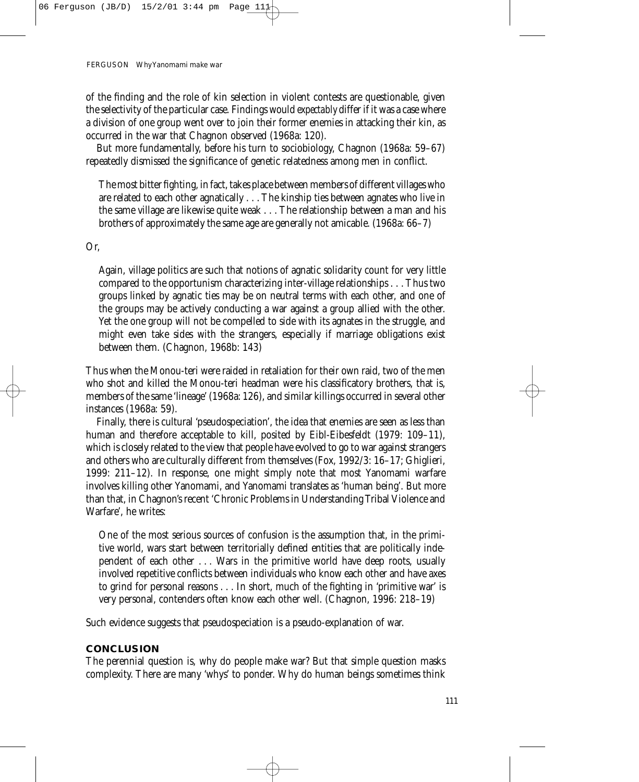of the finding and the role of kin selection in violent contests are questionable, given the selectivity of the particular case. Findings would *expectably* differ if it was a case where a division of one group went over to join their former enemies in attacking their kin, as occurred in the war that Chagnon observed (1968a: 120).

But more fundamentally, before his turn to sociobiology, Chagnon (1968a: 59–67) repeatedly dismissed the significance of genetic relatedness among men in conflict.

The most bitter fighting, in fact, takes place between members of different villages who are related to each other agnatically . . . The kinship ties between agnates who live in the same village are likewise quite weak . . . The relationship between a man and his brothers of approximately the same age are generally not amicable. (1968a: 66–7)

#### Or,

Again, village politics are such that notions of agnatic solidarity count for very little compared to the opportunism characterizing inter-village relationships . . . Thus two groups linked by agnatic ties may be on neutral terms with each other, and one of the groups may be actively conducting a war against a group allied with the other. Yet the one group will not be compelled to side with its agnates in the struggle, and might even take sides with the strangers, especially if marriage obligations exist between them. (Chagnon, 1968b: 143)

Thus when the Monou-teri were raided in retaliation for their own raid, two of the men who shot and killed the Monou-teri headman were his classificatory brothers, that is, members of the same 'lineage' (1968a: 126), and similar killings occurred in several other instances (1968a: 59).

Finally, there is cultural 'pseudospeciation', the idea that enemies are seen as less than human and therefore acceptable to kill, posited by Eibl-Eibesfeldt (1979: 109–11), which is closely related to the view that people have evolved to go to war against strangers and others who are culturally different from themselves (Fox, 1992/3: 16–17; Ghiglieri, 1999: 211–12). In response, one might simply note that most Yanomami warfare involves killing other Yanomami, and Yanomami translates as 'human being'. But more than that, in Chagnon's recent 'Chronic Problems in Understanding Tribal Violence and Warfare', he writes:

One of the most serious sources of confusion is the assumption that, in the primitive world, wars start between territorially defined entities that are politically independent of each other . . . Wars in the primitive world have deep roots, usually involved repetitive conflicts between individuals who know each other and have axes to grind for personal reasons . . . In short, much of the fighting in 'primitive war' is very personal, contenders often know each other well. (Chagnon, 1996: 218–19)

Such evidence suggests that pseudospeciation is a pseudo-explanation of war.

## **CONCLUSION**

The perennial question is, why do people make war? But that simple question masks complexity. There are many 'whys' to ponder. Why do human beings sometimes think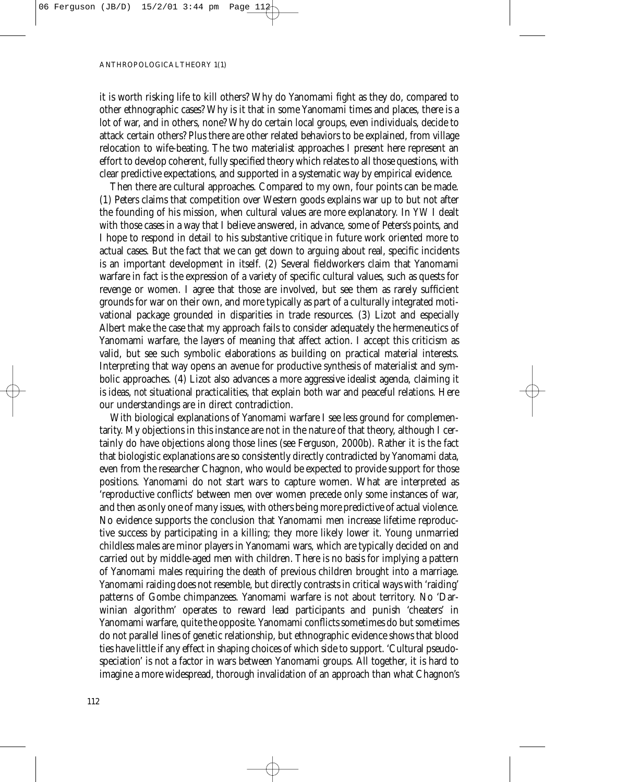it is worth risking life to kill others? Why do Yanomami fight as they do, compared to other ethnographic cases? Why is it that in some Yanomami times and places, there is a lot of war, and in others, none? Why do certain local groups, even individuals, decide to attack certain others? Plus there are other related behaviors to be explained, from village relocation to wife-beating. The two materialist approaches I present here represent an effort to develop coherent, fully specified theory which relates to all those questions, with clear predictive expectations, and supported in a systematic way by empirical evidence.

Then there are cultural approaches. Compared to my own, four points can be made. (1) Peters claims that competition over Western goods explains war up to but not after the founding of his mission, when cultural values are more explanatory. In *YW* I dealt with those cases in a way that I believe answered, in advance, some of Peters's points, and I hope to respond in detail to his substantive critique in future work oriented more to actual cases. But the fact that we can get down to arguing about real, specific incidents is an important development in itself. (2) Several fieldworkers claim that Yanomami warfare in fact is the expression of a variety of specific cultural values, such as quests for revenge or women. I agree that those are involved, but see them as rarely sufficient grounds for war on their own, and more typically as part of a culturally integrated motivational package grounded in disparities in trade resources. (3) Lizot and especially Albert make the case that my approach fails to consider adequately the hermeneutics of Yanomami warfare, the layers of meaning that affect action. I accept this criticism as valid, but see such symbolic elaborations as building on practical material interests. Interpreting that way opens an avenue for productive synthesis of materialist and symbolic approaches. (4) Lizot also advances a more aggressive idealist agenda, claiming it is ideas, *not* situational practicalities, that explain both war and peaceful relations. Here our understandings are in direct contradiction.

With biological explanations of Yanomami warfare I see less ground for complementarity. My objections in this instance are not in the nature of that theory, although I certainly do have objections along those lines (see Ferguson, 2000b). Rather it is the fact that biologistic explanations are so consistently directly contradicted by Yanomami data, even from the researcher Chagnon, who would be expected to provide support for those positions. Yanomami do not start wars to capture women. What are interpreted as 'reproductive conflicts' between men over women precede only some instances of war, and then as only one of many issues, with others being more predictive of actual violence. No evidence supports the conclusion that Yanomami men increase lifetime reproductive success by participating in a killing; they more likely lower it. Young unmarried childless males are minor players in Yanomami wars, which are typically decided on and carried out by middle-aged men with children. There is no basis for implying a pattern of Yanomami males requiring the death of previous children brought into a marriage. Yanomami raiding does not resemble, but directly contrasts in critical ways with 'raiding' patterns of Gombe chimpanzees. Yanomami warfare is not about territory. No 'Darwinian algorithm' operates to reward lead participants and punish 'cheaters' in Yanomami warfare, quite the opposite. Yanomami conflicts sometimes do but sometimes do not parallel lines of genetic relationship, but ethnographic evidence shows that blood ties have little if any effect in shaping choices of which side to support. 'Cultural pseudospeciation' is not a factor in wars between Yanomami groups. All together, it is hard to imagine a more widespread, thorough invalidation of an approach than what Chagnon's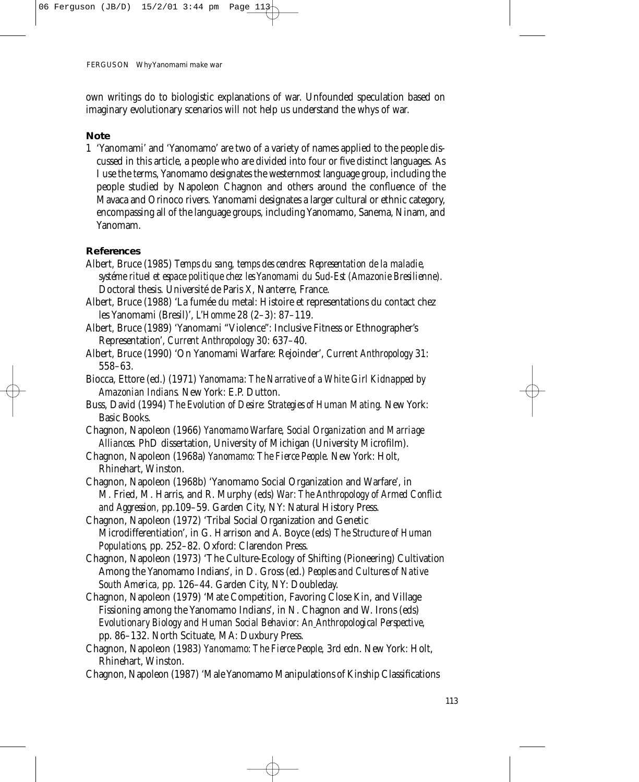own writings do to biologistic explanations of war. Unfounded speculation based on imaginary evolutionary scenarios will not help us understand the whys of war.

# **Note**

1 'Yanomami' and 'Yanomamo' are two of a variety of names applied to the people discussed in this article, a people who are divided into four or five distinct languages. As I use the terms, Yanomamo designates the westernmost language group, including the people studied by Napoleon Chagnon and others around the confluence of the Mavaca and Orinoco rivers. Yanomami designates a larger cultural or ethnic category, encompassing all of the language groups, including Yanomamo, Sanema, Ninam, and Yanomam.

# **References**

- Albert, Bruce (1985) *Temps du sang, temps des cendres: Representation de la maladie, systéme rituel et espace politique chez les Yanomami du Sud-Est (Amazonie Bresilienne).* Doctoral thesis. Université de Paris X, Nanterre, France.
- Albert, Bruce (1988) 'La fumée du metal: Histoire et representations du contact chez les Yanomami (Bresil)', *L'Homme* 28 (2–3): 87–119.
- Albert, Bruce (1989) 'Yanomami "Violence": Inclusive Fitness or Ethnographer's Representation', *Current Anthropology* 30: 637–40.
- Albert, Bruce (1990) 'On Yanomami Warfare: Rejoinder', *Current Anthropology* 31: 558–63.
- Biocca, Ettore (ed.) (1971) *Yanomama: The Narrative of a White Girl Kidnapped by Amazonian Indians.* New York: E.P. Dutton.
- Buss, David (1994) *The Evolution of Desire: Strategies of Human Mating.* New York: Basic Books.
- Chagnon, Napoleon (1966) *Yanomamo Warfare, Social Organization and Marriage Alliances.* PhD dissertation, University of Michigan (University Microfilm).
- Chagnon, Napoleon (1968a) *Yanomamo: The Fierce People*. New York: Holt, Rhinehart, Winston.
- Chagnon, Napoleon (1968b) 'Yanomamo Social Organization and Warfare', in M. Fried, M. Harris, and R. Murphy (eds) *War: The Anthropology of Armed Conflict and Aggression,* pp.109–59. Garden City, NY: Natural History Press.
- Chagnon, Napoleon (1972) 'Tribal Social Organization and Genetic Microdifferentiation', in G. Harrison and A. Boyce (eds) *The Structure of Human Populations*, pp. 252–82. Oxford: Clarendon Press.
- Chagnon, Napoleon (1973) 'The Culture-Ecology of Shifting (Pioneering) Cultivation Among the Yanomamo Indians', in D. Gross (ed.) *Peoples and Cultures of Native South America,* pp. 126–44. Garden City, NY: Doubleday.
- Chagnon, Napoleon (1979) 'Mate Competition, Favoring Close Kin, and Village Fissioning among the Yanomamo Indians', in N. Chagnon and W. Irons (eds) *Evolutionary Biology and Human Social Behavior: An Anthropological Perspective,* pp. 86–132. North Scituate, MA: Duxbury Press.
- Chagnon, Napoleon (1983) *Yanomamo: The Fierce People,* 3rd edn. New York: Holt, Rhinehart, Winston.
- Chagnon, Napoleon (1987) 'Male Yanomamo Manipulations of Kinship Classifications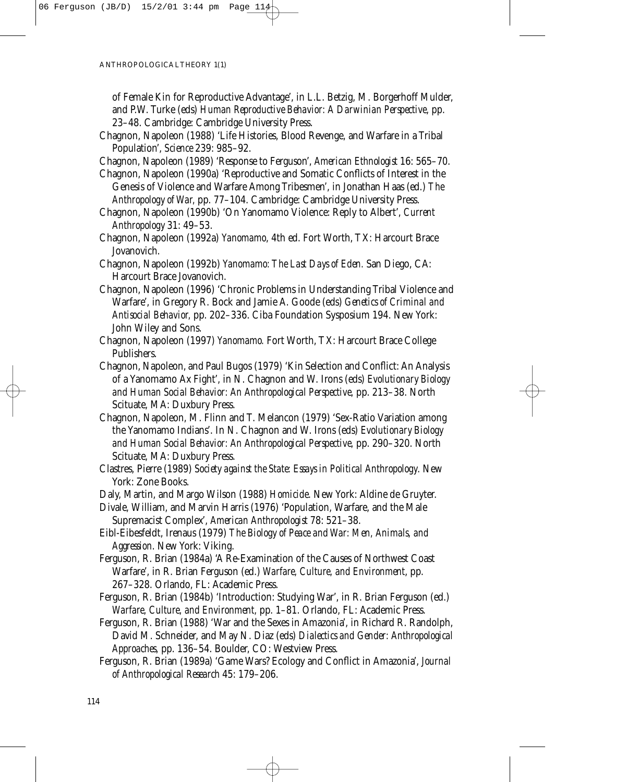of Female Kin for Reproductive Advantage', in L.L. Betzig, M. Borgerhoff Mulder, and P.W. Turke (eds) *Human Reproductive Behavior: A Darwinian Perspective*, pp. 23–48. Cambridge: Cambridge University Press.

- Chagnon, Napoleon (1988) 'Life Histories, Blood Revenge, and Warfare in a Tribal Population', *Science* 239: 985–92.
- Chagnon, Napoleon (1989) 'Response to Ferguson', *American Ethnologist* 16: 565–70.
- Chagnon, Napoleon (1990a) 'Reproductive and Somatic Conflicts of Interest in the Genesis of Violence and Warfare Among Tribesmen', in Jonathan Haas (ed.) *The Anthropology of War,* pp. 77–104. Cambridge: Cambridge University Press.
- Chagnon, Napoleon (1990b) 'On Yanomamo Violence: Reply to Albert', *Current Anthropology* 31: 49–53.
- Chagnon, Napoleon (1992a) *Yanomamo*, 4th ed. Fort Worth, TX: Harcourt Brace Jovanovich.
- Chagnon, Napoleon (1992b) *Yanomamo: The Last Days of Eden.* San Diego, CA: Harcourt Brace Jovanovich.
- Chagnon, Napoleon (1996) 'Chronic Problems in Understanding Tribal Violence and Warfare', in Gregory R. Bock and Jamie A. Goode (eds) *Genetics of Criminal and Antisocial Behavior,* pp. 202–336. Ciba Foundation Sysposium 194. New York: John Wiley and Sons.
- Chagnon, Napoleon (1997) *Yanomamo.* Fort Worth, TX: Harcourt Brace College Publishers.
- Chagnon, Napoleon, and Paul Bugos (1979) 'Kin Selection and Conflict: An Analysis of a Yanomamo Ax Fight', in N. Chagnon and W. Irons (eds) *Evolutionary Biology and Human Social Behavior: An Anthropological Perspective,* pp. 213–38. North Scituate, MA: Duxbury Press.
- Chagnon, Napoleon, M. Flinn and T. Melancon (1979) 'Sex-Ratio Variation among the Yanomamo Indians'. In N. Chagnon and W. Irons (eds) *Evolutionary Biology and Human Social Behavior: An Anthropological Perspective,* pp. 290–320. North Scituate, MA: Duxbury Press.
- Clastres, Pierre (1989) *Society against the State: Essays in Political Anthropology*. New York: Zone Books.
- Daly, Martin, and Margo Wilson (1988) *Homicide*. New York: Aldine de Gruyter.
- Divale, William, and Marvin Harris (1976) 'Population, Warfare, and the Male Supremacist Complex', *American Anthropologist* 78: 521–38.
- Eibl-Eibesfeldt, Irenaus (1979) *The Biology of Peace and War: Men, Animals, and Aggression*. New York: Viking.
- Ferguson, R. Brian (1984a) 'A Re-Examination of the Causes of Northwest Coast Warfare', in R. Brian Ferguson (ed.) *Warfare, Culture, and Environment*, pp. 267–328. Orlando, FL: Academic Press.
- Ferguson, R. Brian (1984b) 'Introduction: Studying War', in R. Brian Ferguson (ed.) *Warfare, Culture, and Environment,* pp. 1–81. Orlando, FL: Academic Press.
- Ferguson, R. Brian (1988) 'War and the Sexes in Amazonia', in Richard R. Randolph, David M. Schneider, and May N. Diaz (eds) *Dialectics and Gender: Anthropological Approaches,* pp. 136–54. Boulder, CO: Westview Press.
- Ferguson, R. Brian (1989a) 'Game Wars? Ecology and Conflict in Amazonia', *Journal of Anthropological Research* 45: 179–206.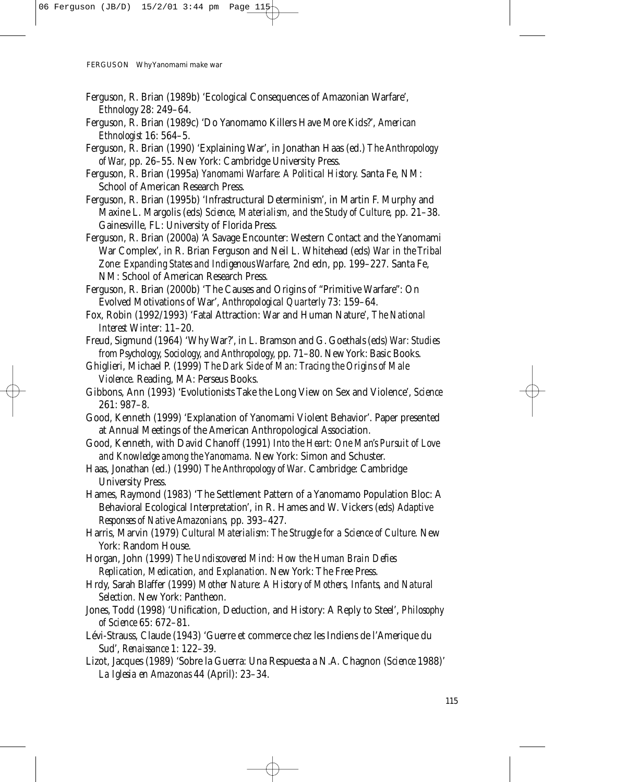- Ferguson, R. Brian (1989b) 'Ecological Consequences of Amazonian Warfare', *Ethnology* 28: 249–64.
- Ferguson, R. Brian (1989c) 'Do Yanomamo Killers Have More Kids?', *American Ethnologist* 16: 564–5.
- Ferguson, R. Brian (1990) 'Explaining War', in Jonathan Haas (ed.) *The Anthropology of War,* pp. 26–55. New York: Cambridge University Press.
- Ferguson, R. Brian (1995a) *Yanomami Warfare: A Political History.* Santa Fe, NM: School of American Research Press.
- Ferguson, R. Brian (1995b) 'Infrastructural Determinism', in Martin F. Murphy and Maxine L. Margolis (eds) *Science, Materialism, and the Study of Culture,* pp. 21–38. Gainesville, FL: University of Florida Press.
- Ferguson, R. Brian (2000a) 'A Savage Encounter: Western Contact and the Yanomami War Complex', in R. Brian Ferguson and Neil L. Whitehead (eds) *War in the Tribal Zone: Expanding States and Indigenous Warfare,* 2nd edn, pp. 199–227. Santa Fe, NM: School of American Research Press.
- Ferguson, R. Brian (2000b) 'The Causes and Origins of "Primitive Warfare": On Evolved Motivations of War', *Anthropological Quarterly* 73: 159–64.
- Fox, Robin (1992/1993) 'Fatal Attraction: War and Human Nature', *The National Interest* Winter: 11–20.
- Freud, Sigmund (1964) 'Why War?', in L. Bramson and G. Goethals (eds) *War: Studies from Psychology, Sociology, and Anthropology,* pp. 71–80. New York: Basic Books.
- Ghiglieri, Michael P. (1999) *The Dark Side of Man: Tracing the Origins of Male Violence*. Reading, MA: Perseus Books.
- Gibbons, Ann (1993) 'Evolutionists Take the Long View on Sex and Violence', *Science* 261: 987–8.
- Good, Kenneth (1999) 'Explanation of Yanomami Violent Behavior'. Paper presented at Annual Meetings of the American Anthropological Association.
- Good, Kenneth, with David Chanoff (1991) *Into the Heart: One Man's Pursuit of Love and Knowledge among the Yanomama.* New York: Simon and Schuster.
- Haas, Jonathan (ed.) (1990) *The Anthropology of War*. Cambridge: Cambridge University Press.
- Hames, Raymond (1983) 'The Settlement Pattern of a Yanomamo Population Bloc: A Behavioral Ecological Interpretation', in R. Hames and W. Vickers (eds) *Adaptive Responses of Native Amazonians,* pp. 393–427.
- Harris, Marvin (1979) *Cultural Materialism: The Struggle for a Science of Culture*. New York: Random House.
- Horgan, John (1999) *The Undiscovered Mind: How the Human Brain Defies Replication, Medication, and Explanation.* New York: The Free Press.
- Hrdy, Sarah Blaffer (1999) *Mother Nature: A History of Mothers, Infants, and Natural Selection.* New York: Pantheon.
- Jones, Todd (1998) 'Unification, Deduction, and History: A Reply to Steel', *Philosophy of Science* 65: 672–81.
- Lévi-Strauss, Claude (1943) 'Guerre et commerce chez les Indiens de l'Amerique du Sud', *Renaissance* 1: 122–39.
- Lizot, Jacques (1989) 'Sobre la Guerra: Una Respuesta a N.A. Chagnon (*Science* 1988)' *La Iglesia en Amazonas* 44 (April): 23–34.